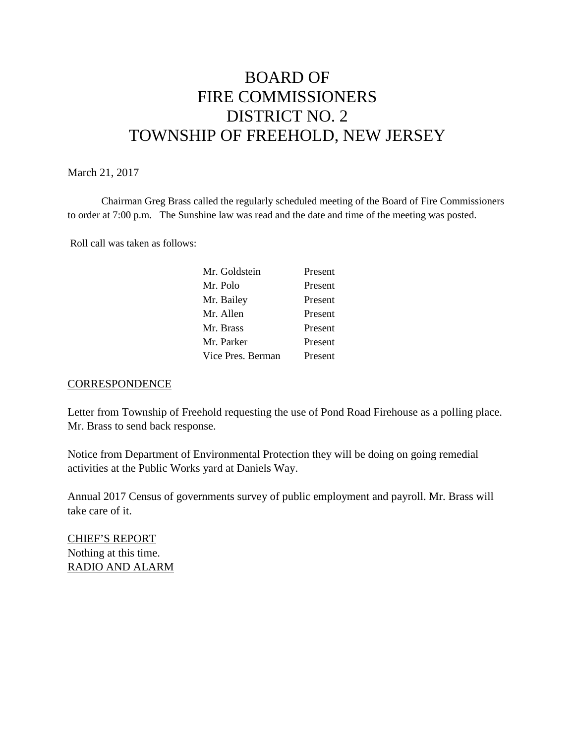# BOARD OF FIRE COMMISSIONERS DISTRICT NO. 2 TOWNSHIP OF FREEHOLD, NEW JERSEY

## March 21, 2017

Chairman Greg Brass called the regularly scheduled meeting of the Board of Fire Commissioners to order at 7:00 p.m. The Sunshine law was read and the date and time of the meeting was posted.

Roll call was taken as follows:

| Mr. Goldstein     | Present |
|-------------------|---------|
| Mr. Polo          | Present |
| Mr. Bailey        | Present |
| Mr. Allen         | Present |
| Mr. Brass         | Present |
| Mr. Parker        | Present |
| Vice Pres. Berman | Present |

#### **CORRESPONDENCE**

Letter from Township of Freehold requesting the use of Pond Road Firehouse as a polling place. Mr. Brass to send back response.

Notice from Department of Environmental Protection they will be doing on going remedial activities at the Public Works yard at Daniels Way.

Annual 2017 Census of governments survey of public employment and payroll. Mr. Brass will take care of it.

CHIEF'S REPORT Nothing at this time. RADIO AND ALARM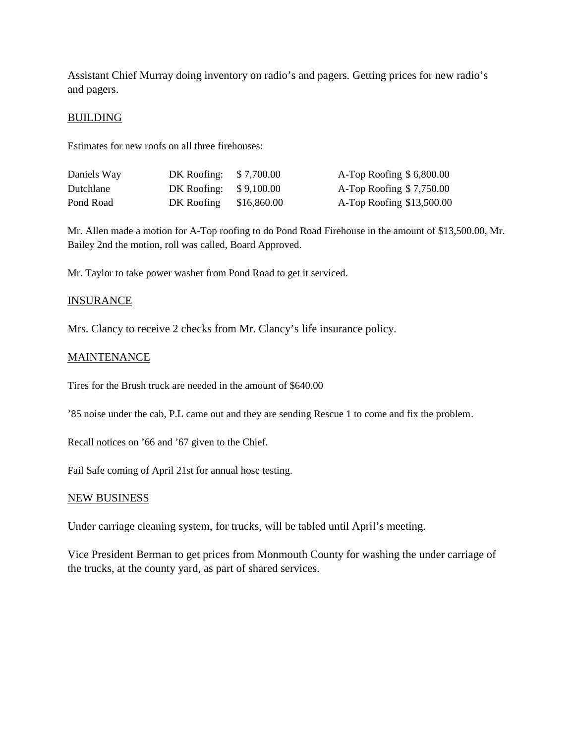Assistant Chief Murray doing inventory on radio's and pagers. Getting prices for new radio's and pagers.

### **BUILDING**

Estimates for new roofs on all three firehouses:

| Daniels Way | DK Roofing: \$7,700.00  | A-Top Roofing $$6,800.00$ |
|-------------|-------------------------|---------------------------|
| Dutchlane   | DK Roofing: $$9,100.00$ | A-Top Roofing $$7,750.00$ |
| Pond Road   | DK Roofing \$16,860.00  | A-Top Roofing \$13,500.00 |

Mr. Allen made a motion for A-Top roofing to do Pond Road Firehouse in the amount of \$13,500.00, Mr. Bailey 2nd the motion, roll was called, Board Approved.

Mr. Taylor to take power washer from Pond Road to get it serviced.

#### **INSURANCE**

Mrs. Clancy to receive 2 checks from Mr. Clancy's life insurance policy.

#### MAINTENANCE

Tires for the Brush truck are needed in the amount of \$640.00

'85 noise under the cab, P.L came out and they are sending Rescue 1 to come and fix the problem.

Recall notices on '66 and '67 given to the Chief.

Fail Safe coming of April 21st for annual hose testing.

#### NEW BUSINESS

Under carriage cleaning system, for trucks, will be tabled until April's meeting.

Vice President Berman to get prices from Monmouth County for washing the under carriage of the trucks, at the county yard, as part of shared services.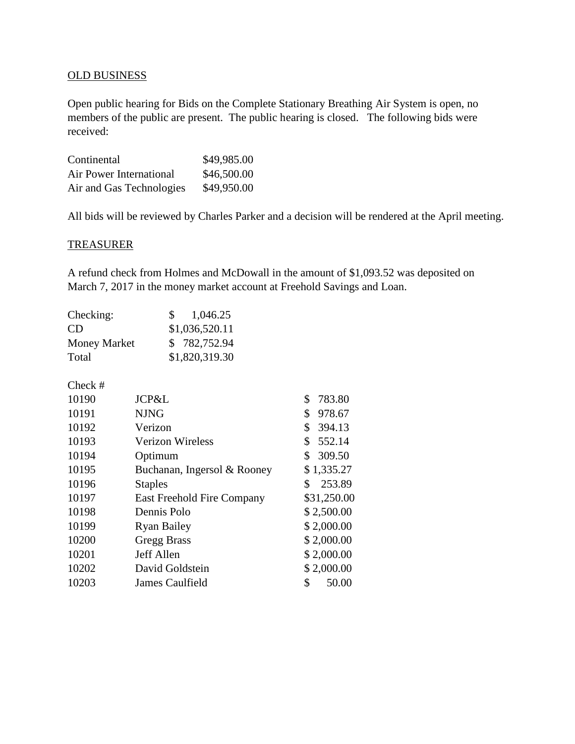# OLD BUSINESS

Open public hearing for Bids on the Complete Stationary Breathing Air System is open, no members of the public are present. The public hearing is closed. The following bids were received:

| Continental              | \$49,985.00 |
|--------------------------|-------------|
| Air Power International  | \$46,500.00 |
| Air and Gas Technologies | \$49,950.00 |

All bids will be reviewed by Charles Parker and a decision will be rendered at the April meeting.

# **TREASURER**

A refund check from Holmes and McDowall in the amount of \$1,093.52 was deposited on March 7, 2017 in the money market account at Freehold Savings and Loan.

| Checking:           | 1,046.25<br>$S_{\perp}$ |
|---------------------|-------------------------|
| CD.                 | \$1,036,520.11          |
| <b>Money Market</b> | \$782,752.94            |
| Total               | \$1,820,319.30          |

Check #

| 10190 | JCP&L                       | 783.80<br>\$ |
|-------|-----------------------------|--------------|
| 10191 | <b>NJNG</b>                 | 978.67<br>\$ |
| 10192 | Verizon                     | \$<br>394.13 |
| 10193 | <b>Verizon Wireless</b>     | 552.14<br>\$ |
| 10194 | Optimum                     | 309.50<br>\$ |
| 10195 | Buchanan, Ingersol & Rooney | \$1,335.27   |
| 10196 | <b>Staples</b>              | \$<br>253.89 |
| 10197 | East Freehold Fire Company  | \$31,250.00  |
| 10198 | Dennis Polo                 | \$2,500.00   |
| 10199 | <b>Ryan Bailey</b>          | \$2,000.00   |
| 10200 | <b>Gregg Brass</b>          | \$2,000.00   |
| 10201 | Jeff Allen                  | \$2,000.00   |
| 10202 | David Goldstein             | \$2,000.00   |
| 10203 | James Caulfield             | \$<br>50.00  |